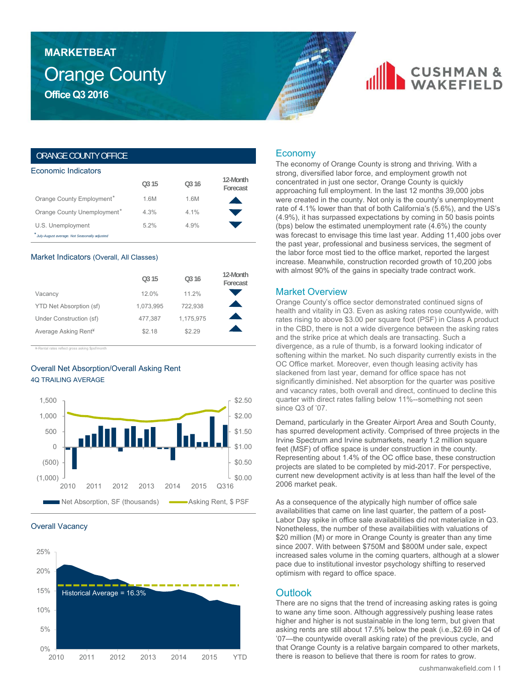## Orange County **Office Q3 2016 MARKETBEAT**

## **CUSHMAN &**

## ORANGE COUNTY OFFICE

| Economic Indicators                          |       |       |                      |
|----------------------------------------------|-------|-------|----------------------|
|                                              | 0.315 | 0.316 | 12-Month<br>Forecast |
| Orange County Employment*                    | 1.6M  | 1.6M  |                      |
| Orange County Unemployment*                  | 4.3%  | 4.1%  |                      |
| U.S. Unemployment                            | 5.2%  | 4.9%  |                      |
| July-August average. Not Seasonally adjusted |       |       |                      |

#### Market Indicators (Overall, All Classes)

|                                  | O <sub>3</sub> 15 | O <sub>3</sub> 16 | 12-Month<br>Forecast |
|----------------------------------|-------------------|-------------------|----------------------|
| Vacancy                          | 12.0%             | 11.2%             |                      |
| YTD Net Absorption (sf)          | 1,073,995         | 722.938           |                      |
| Under Construction (sf)          | 477.387           | 1,175,975         |                      |
| Average Asking Rent <sup>¥</sup> | \$2.18            | \$2.29            |                      |

¥-Rental rates reflect gross asking \$psf/month

## Overall Net Absorption/Overall Asking Rent 4Q TRAILING AVERAGE



#### Overall Vacancy



## Economy

The economy of Orange County is strong and thriving. With a strong, diversified labor force, and employment growth not concentrated in just one sector, Orange County is quickly approaching full employment. In the last 12 months 39,000 jobs were created in the county. Not only is the county's unemployment rate of 4.1% lower than that of both California's (5.6%), and the US's (4.9%), it has surpassed expectations by coming in 50 basis points (bps) below the estimated unemployment rate (4.6%) the county was forecast to envisage this time last year. Adding 11,400 jobs over the past year, professional and business services, the segment of the labor force most tied to the office market, reported the largest increase. Meanwhile, construction recorded growth of 10,200 jobs with almost 90% of the gains in specialty trade contract work.

### Market Overview

Orange County's office sector demonstrated continued signs of health and vitality in Q3. Even as asking rates rose countywide, with rates rising to above \$3.00 per square foot (PSF) in Class A product in the CBD, there is not a wide divergence between the asking rates and the strike price at which deals are transacting. Such a divergence, as a rule of thumb, is a forward looking indicator of softening within the market. No such disparity currently exists in the OC Office market. Moreover, even though leasing activity has slackened from last year, demand for office space has not significantly diminished. Net absorption for the quarter was positive and vacancy rates, both overall and direct, continued to decline this quarter with direct rates falling below 11%--something not seen since Q3 of '07.

Demand, particularly in the Greater Airport Area and South County, has spurred development activity. Comprised of three projects in the Irvine Spectrum and Irvine submarkets, nearly 1.2 million square feet (MSF) of office space is under construction in the county. Representing about 1.4% of the OC office base, these construction projects are slated to be completed by mid-2017. For perspective, current new development activity is at less than half the level of the 2006 market peak.

As a consequence of the atypically high number of office sale availabilities that came on line last quarter, the pattern of a post-Labor Day spike in office sale availabilities did not materialize in Q3. Nonetheless, the number of these availabilities with valuations of \$20 million (M) or more in Orange County is greater than any time since 2007. With between \$750M and \$800M under sale, expect increased sales volume in the coming quarters, although at a slower pace due to institutional investor psychology shifting to reserved optimism with regard to office space.

## **Outlook**

There are no signs that the trend of increasing asking rates is going to wane any time soon. Although aggressively pushing lease rates higher and higher is not sustainable in the long term, but given that asking rents are still about 17.5% below the peak (i.e.,\$2.69 in Q4 of '07—the countywide overall asking rate) of the previous cycle, and that Orange County is a relative bargain compared to other markets, there is reason to believe that there is room for rates to grow.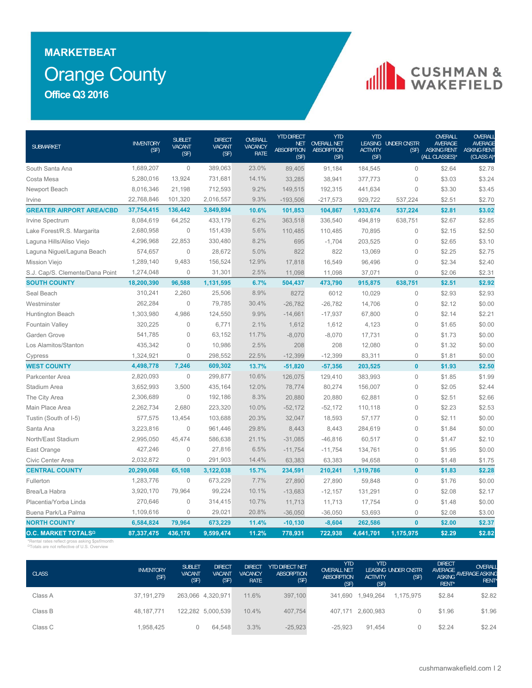## Orange County **MARKETBEAT Office Q3 2016**

# CUSHMAN &

| <b>SUBMARKET</b>                | <b>INVENTORY</b><br>(SF) | <b>SUBLET</b><br><b>VACANT</b><br>(SF) | <b>DIRECT</b><br><b>VACANT</b><br>(SF) | OVERALL<br>VACANCY<br><b>RATE</b> | <b>YTD DIRECT</b><br><b>NET</b><br><b>ABSORPTION</b><br>(SF) | YTD<br><b>OVERALL NET</b><br><b>ABSORPTION</b><br>(SF) | <b>YTD</b><br><b>ACTIVITY</b><br>(SF) | LEASING UNDER CNSTR<br>(SF) | OVERALL<br><b>AVERAGE</b><br>ASKING RENT<br>(ALL CLASSES)* | OVERALI<br><b>AVERAGE</b><br><b>ASKING RENT</b><br>(CLASS A) |
|---------------------------------|--------------------------|----------------------------------------|----------------------------------------|-----------------------------------|--------------------------------------------------------------|--------------------------------------------------------|---------------------------------------|-----------------------------|------------------------------------------------------------|--------------------------------------------------------------|
| South Santa Ana                 | 1,689,207                | $\mathbf{0}$                           | 389,063                                | 23.0%                             | 89,405                                                       | 91,184                                                 | 184,545                               | $\mathbf 0$                 | \$2.64                                                     | \$2.78                                                       |
| Costa Mesa                      | 5,280,016                | 13,924                                 | 731,681                                | 14.1%                             | 33,285                                                       | 38,941                                                 | 377,773                               | $\mathbf 0$                 | \$3.03                                                     | \$3.24                                                       |
| Newport Beach                   | 8,016,346                | 21,198                                 | 712,593                                | 9.2%                              | 149,515                                                      | 192,315                                                | 441,634                               | $\mathbf 0$                 | \$3.30                                                     | \$3.45                                                       |
| Irvine                          | 22,768,846               | 101,320                                | 2,016,557                              | 9.3%                              | $-193,506$                                                   | $-217,573$                                             | 929,722                               | 537,224                     | \$2.51                                                     | \$2.70                                                       |
| <b>GREATER AIRPORT AREA/CBD</b> | 37,754,415               | 136,442                                | 3,849,894                              | 10.6%                             | 101,853                                                      | 104,867                                                | 1,933,674                             | 537,224                     | \$2.81                                                     | \$3.02                                                       |
| Irvine Spectrum                 | 8,084,619                | 64,252                                 | 433,179                                | 6.2%                              | 363,518                                                      | 336,540                                                | 494,819                               | 638,751                     | \$2.67                                                     | \$2.85                                                       |
| Lake Forest/R.S. Margarita      | 2,680,958                | $\mathbf 0$                            | 151,439                                | 5.6%                              | 110,485                                                      | 110,485                                                | 70,895                                | $\mathbf 0$                 | \$2.15                                                     | \$2.50                                                       |
| Laguna Hills/Aliso Viejo        | 4,296,968                | 22,853                                 | 330,480                                | 8.2%                              | 695                                                          | $-1,704$                                               | 203,525                               | $\mathbf 0$                 | \$2.65                                                     | \$3.10                                                       |
| Laguna Niguel/Laguna Beach      | 574,657                  | $\mathbf 0$                            | 28,672                                 | 5.0%                              | 822                                                          | 822                                                    | 13,069                                | $\mathbf 0$                 | \$2.25                                                     | \$2.75                                                       |
| Mission Viejo                   | 1,289,140                | 9,483                                  | 156,524                                | 12.9%                             | 17,818                                                       | 16,549                                                 | 96,496                                | $\mathbf 0$                 | \$2.34                                                     | \$2.40                                                       |
| S.J. Cap/S. Clemente/Dana Point | 1,274,048                | 0                                      | 31,301                                 | 2.5%                              | 11,098                                                       | 11,098                                                 | 37,071                                | $\mathsf{O}\xspace$         | \$2.06                                                     | \$2.31                                                       |
| <b>SOUTH COUNTY</b>             | 18,200,390               | 96,588                                 | 1,131,595                              | 6.7%                              | 504,437                                                      | 473,790                                                | 915,875                               | 638,751                     | \$2.51                                                     | \$2.92                                                       |
| Seal Beach                      | 310,241                  | 2,260                                  | 25,506                                 | 8.9%                              | 8272                                                         | 6012                                                   | 10,029                                | $\circ$                     | \$2.93                                                     | \$2.93                                                       |
| Westminster                     | 262,284                  | $\Omega$                               | 79,785                                 | 30.4%                             | $-26,782$                                                    | $-26,782$                                              | 14,706                                | $\mathbf 0$                 | \$2.12                                                     | \$0.00                                                       |
| Huntington Beach                | 1,303,980                | 4.986                                  | 124,550                                | 9.9%                              | $-14,661$                                                    | $-17,937$                                              | 67,800                                | $\mathbf 0$                 | \$2.14                                                     | \$2.21                                                       |
| Fountain Valley                 | 320,225                  | $\Omega$                               | 6,771                                  | 2.1%                              | 1,612                                                        | 1,612                                                  | 4,123                                 | $\mathbf 0$                 | \$1.65                                                     | \$0.00                                                       |
| Garden Grove                    | 541,785                  | 0                                      | 63,152                                 | 11.7%                             | $-8,070$                                                     | $-8,070$                                               | 17,731                                | 0                           | \$1.73                                                     | \$0.00                                                       |
| Los Alamitos/Stanton            | 435,342                  | $\mathbf{0}$                           | 10,986                                 | 2.5%                              | 208                                                          | 208                                                    | 12,080                                | 0                           | \$1.32                                                     | \$0.00                                                       |
| Cypress                         | 1,324,921                | $\mathbf 0$                            | 298,552                                | 22.5%                             | $-12,399$                                                    | $-12,399$                                              | 83,311                                | $\mathbf 0$                 | \$1.81                                                     | \$0.00                                                       |
| <b>WEST COUNTY</b>              | 4,498,778                | 7,246                                  | 609,302                                | 13.7%                             | $-51,820$                                                    | $-57,356$                                              | 203,525                               | $\mathbf{0}$                | \$1.93                                                     | \$2.50                                                       |
| Parkcenter Area                 | 2,820,093                | $\mathbf 0$                            | 299,877                                | 10.6%                             | 126,075                                                      | 129,410                                                | 383,993                               | $\mathbf 0$                 | \$1.85                                                     | \$1.99                                                       |
| Stadium Area                    | 3,652,993                | 3,500                                  | 435,164                                | 12.0%                             | 78,774                                                       | 80,274                                                 | 156,007                               | $\mathbf 0$                 | \$2.05                                                     | \$2.44                                                       |
| The City Area                   | 2,306,689                | $\mathbf{0}$                           | 192,186                                | 8.3%                              | 20,880                                                       | 20,880                                                 | 62,881                                | $\mathbf 0$                 | \$2.51                                                     | \$2.66                                                       |
| Main Place Area                 | 2,262,734                | 2,680                                  | 223,320                                | 10.0%                             | $-52,172$                                                    | $-52,172$                                              | 110,118                               | $\mathbf 0$                 | \$2.23                                                     | \$2.53                                                       |
| Tustin (South of I-5)           | 577,575                  | 13,454                                 | 103,688                                | 20.3%                             | 32,047                                                       | 18,593                                                 | 57,177                                | $\mathbf 0$                 | \$2.11                                                     | \$0.00                                                       |
| Santa Ana                       | 3,223,816                | $\mathbf{0}$                           | 961,446                                | 29.8%                             | 8,443                                                        | 8,443                                                  | 284,619                               | $\mathbf 0$                 | \$1.84                                                     | \$0.00                                                       |
| North/East Stadium              | 2,995,050                | 45,474                                 | 586,638                                | 21.1%                             | $-31,085$                                                    | $-46,816$                                              | 60,517                                | $\mathbf 0$                 | \$1.47                                                     | \$2.10                                                       |
| East Orange                     | 427,246                  | $\Omega$                               | 27,816                                 | 6.5%                              | $-11,754$                                                    | $-11,754$                                              | 134,761                               | $\mathbf 0$                 | \$1.95                                                     | \$0.00                                                       |
| Civic Center Area               | 2,032,872                | 0                                      | 291,903                                | 14.4%                             | 63,383                                                       | 63,383                                                 | 94,658                                | $\mathbf 0$                 | \$1.48                                                     | \$1.75                                                       |
| <b>CENTRAL COUNTY</b>           | 20,299,068               | 65,108                                 | 3,122,038                              | 15.7%                             | 234,591                                                      | 210,241                                                | 1,319,786                             | $\mathbf{0}$                | \$1.83                                                     | \$2.28                                                       |
| Fullerton                       | 1,283,776                | $\mathbf 0$                            | 673,229                                | 7.7%                              | 27,890                                                       | 27,890                                                 | 59,848                                | $\mathbf 0$                 | \$1.76                                                     | \$0.00                                                       |
| Brea/La Habra                   | 3,920,170                | 79,964                                 | 99,224                                 | 10.1%                             | $-13,683$                                                    | $-12,157$                                              | 131,291                               | 0                           | \$2.08                                                     | \$2.17                                                       |
| Placentia/Yorba Linda           | 270,646                  | $\mathbf{0}$                           | 314,415                                | 10.7%                             | 11,713                                                       | 11,713                                                 | 17,754                                | $\mathsf{O}\xspace$         | \$1.48                                                     | \$0.00                                                       |
| Buena Park/La Palma             | 1,109,616                | $\mathbf 0$                            | 29,021                                 | 20.8%                             | $-36,050$                                                    | $-36,050$                                              | 53,693                                | $\mathbf 0$                 | \$2.08                                                     | \$3.00                                                       |
| <b>NORTH COUNTY</b>             | 6,584,824                | 79,964                                 | 673,229                                | 11.4%                             | $-10,130$                                                    | $-8,604$                                               | 262,586                               | $\mathbf{0}$                | \$2.00                                                     | \$2.37                                                       |
| O.C. MARKET TOTALS <sup>2</sup> | 87,337,475               | 436,176                                | 9,599,474                              | 11.2%                             | 778,931                                                      | 722,938                                                | 4,641,701                             | 1,175,975                   | \$2.29                                                     | \$2.82                                                       |

\*Rental rates reflect gross asking \$psf/month <sup>Ω</sup>Totals are not reflective of U.S. Overview

| <b>CLASS</b> | <b>INVENTORY</b><br>(SF) | <b>SUBLET</b><br><b>VACANT</b><br>(SF) | <b>DIRECT</b><br><b>VACANT</b><br>(SF) | <b>DIRECT</b><br><b>VACANCY</b><br><b>RATE</b> | <b>YTD DIRECT NET</b><br>ABSORPTION<br>(SF) | <b>YTD</b><br><b>OVERALL NET</b><br><b>ABSORPTION</b><br>(SF) | <b>YTD</b><br><b>ACTIVITY</b><br>(SF) | LEASING UNDER CNSTR<br>(SF) | <b>DIRECT</b><br>AVERAGE<br>RENT* | OVERALL<br>ASKING AVERAGE ASKING<br>RENT* |
|--------------|--------------------------|----------------------------------------|----------------------------------------|------------------------------------------------|---------------------------------------------|---------------------------------------------------------------|---------------------------------------|-----------------------------|-----------------------------------|-------------------------------------------|
| Class A      | 37.191.279               |                                        | 263,066 4,320,971                      | 11.6%                                          | 397,100                                     | 341.690                                                       | 1,949,264                             | 1.175.975                   | \$2.84                            | \$2.82                                    |
| Class B      | 48.187.771               |                                        | 122,282 5,000,539                      | 10.4%                                          | 407.754                                     |                                                               | 407.171 2.600.983                     | 0                           | \$1.96                            | \$1.96                                    |
| Class C      | 1.958.425                |                                        | 64.548                                 | 3.3%                                           | $-25,923$                                   | $-25.923$                                                     | 91.454                                | 0                           | \$2.24                            | \$2.24                                    |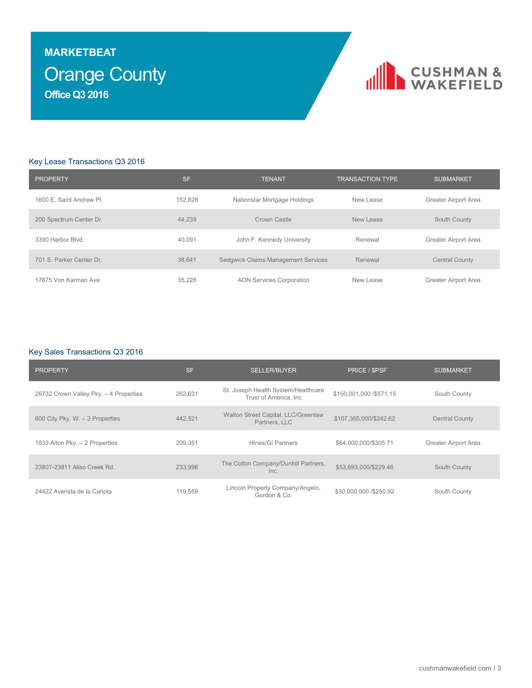## Orange County **MARKETBEAT Office Q3 2016**



### Key Lease Transactions Q3 2016

| <b>PROPERTY</b>          | <b>SF</b> | <b>TENANT</b>                       | <b>TRANSACTION TYPE</b> | <b>SUBMARKET</b>      |
|--------------------------|-----------|-------------------------------------|-------------------------|-----------------------|
| 1600 E. Saint Andrew Pl. | 152.828   | Nationstar Mortgage Holdings        | New Lease               | Greater Airport Area  |
| 200 Spectrum Center Dr.  | 44.239    | Crown Castle                        | New Lease               | South County          |
| 3390 Harbor Blvd.        | 40.091    | John F. Kennedy University          | Renewal                 | Greater Airport Area  |
| 701 S. Parker Center Dr. | 38.641    | Sedgwick Claims Management Services | Renewal                 | <b>Central County</b> |
| 17875 Von Karman Ave.    | 35.228    | <b>AON Services Corporation</b>     | New Lease               | Greater Airport Area  |

### Key Sales Transactions Q3 2016

| <b>PROPERTY</b>                        | <b>SF</b> | <b>SELLER/BUYER</b>                                           | PRICE / SPSF             | <b>SUBMARKET</b>      |
|----------------------------------------|-----------|---------------------------------------------------------------|--------------------------|-----------------------|
| 26732 Crown Valley Pky. - 4 Properties | 262,631   | St. Joseph Health System/Healthcare<br>Trust of America. Inc. | \$150,001,000 / \$571.15 | South County          |
| 600 City Pky. W. - 3 Properties        | 442.521   | Walton Street Capital, LLC/Greenlaw<br>Partners, LLC          | \$107,365,000/\$242.62   | <b>Central County</b> |
| 1833 Alton Pky. - 2 Properties         | 209.351   | Hines/GI Partners                                             | \$64,000,000/\$305.71    | Greater Airport Area  |
| 23807-23811 Aliso Creek Rd.            | 233,996   | The Colton Company/Dunhill Partners,<br>Inc.                  | \$53,693,000/\$229.46    | South County          |
| 24422 Avenida de la Carlota            | 119.559   | Lincoln Property Company/Angelo,<br>Gordon & Co.              | \$30,000,000 / \$250.92  | South County          |